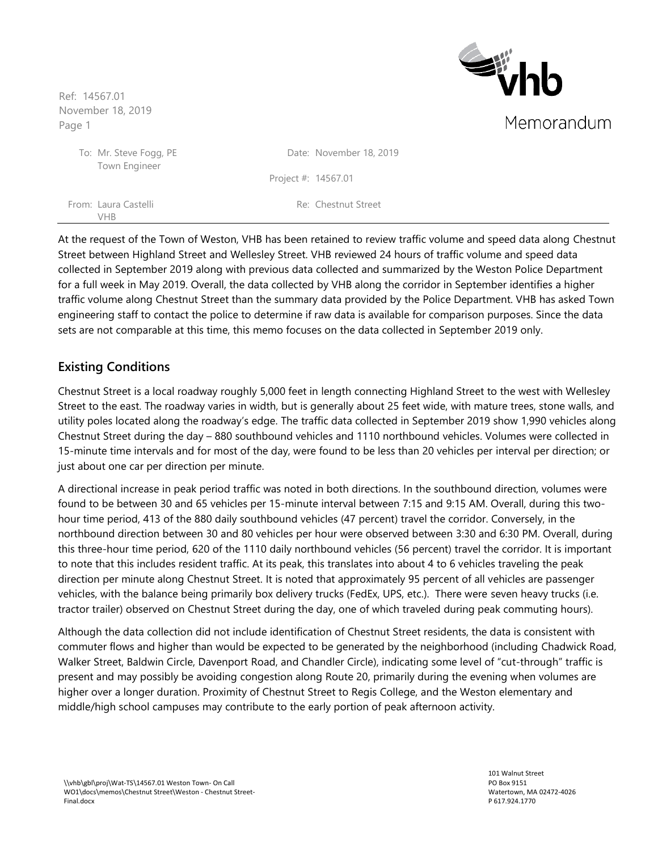Ref: 14567.01 November 18, 2019 Page 1

VHB

From:

To: Town Engineer **Sight** Memorandum

| Mr. Steve Fogg, PE<br>Town Engineer |                       | Date: November 18, 2019 |
|-------------------------------------|-----------------------|-------------------------|
|                                     | Project #: $14567.01$ |                         |
| Laura Castelli                      |                       | Re: Chestnut Street     |

At the request of the Town of Weston, VHB has been retained to review traffic volume and speed data along Chestnut Street between Highland Street and Wellesley Street. VHB reviewed 24 hours of traffic volume and speed data collected in September 2019 along with previous data collected and summarized by the Weston Police Department for a full week in May 2019. Overall, the data collected by VHB along the corridor in September identifies a higher traffic volume along Chestnut Street than the summary data provided by the Police Department. VHB has asked Town engineering staff to contact the police to determine if raw data is available for comparison purposes. Since the data sets are not comparable at this time, this memo focuses on the data collected in September 2019 only.

# **Existing Conditions**

Chestnut Street is a local roadway roughly 5,000 feet in length connecting Highland Street to the west with Wellesley Street to the east. The roadway varies in width, but is generally about 25 feet wide, with mature trees, stone walls, and utility poles located along the roadway's edge. The traffic data collected in September 2019 show 1,990 vehicles along Chestnut Street during the day – 880 southbound vehicles and 1110 northbound vehicles. Volumes were collected in 15-minute time intervals and for most of the day, were found to be less than 20 vehicles per interval per direction; or just about one car per direction per minute.

A directional increase in peak period traffic was noted in both directions. In the southbound direction, volumes were found to be between 30 and 65 vehicles per 15-minute interval between 7:15 and 9:15 AM. Overall, during this twohour time period, 413 of the 880 daily southbound vehicles (47 percent) travel the corridor. Conversely, in the northbound direction between 30 and 80 vehicles per hour were observed between 3:30 and 6:30 PM. Overall, during this three-hour time period, 620 of the 1110 daily northbound vehicles (56 percent) travel the corridor. It is important to note that this includes resident traffic. At its peak, this translates into about 4 to 6 vehicles traveling the peak direction per minute along Chestnut Street. It is noted that approximately 95 percent of all vehicles are passenger vehicles, with the balance being primarily box delivery trucks (FedEx, UPS, etc.). There were seven heavy trucks (i.e. tractor trailer) observed on Chestnut Street during the day, one of which traveled during peak commuting hours).

Although the data collection did not include identification of Chestnut Street residents, the data is consistent with commuter flows and higher than would be expected to be generated by the neighborhood (including Chadwick Road, Walker Street, Baldwin Circle, Davenport Road, and Chandler Circle), indicating some level of "cut-through" traffic is present and may possibly be avoiding congestion along Route 20, primarily during the evening when volumes are higher over a longer duration. Proximity of Chestnut Street to Regis College, and the Weston elementary and middle/high school campuses may contribute to the early portion of peak afternoon activity.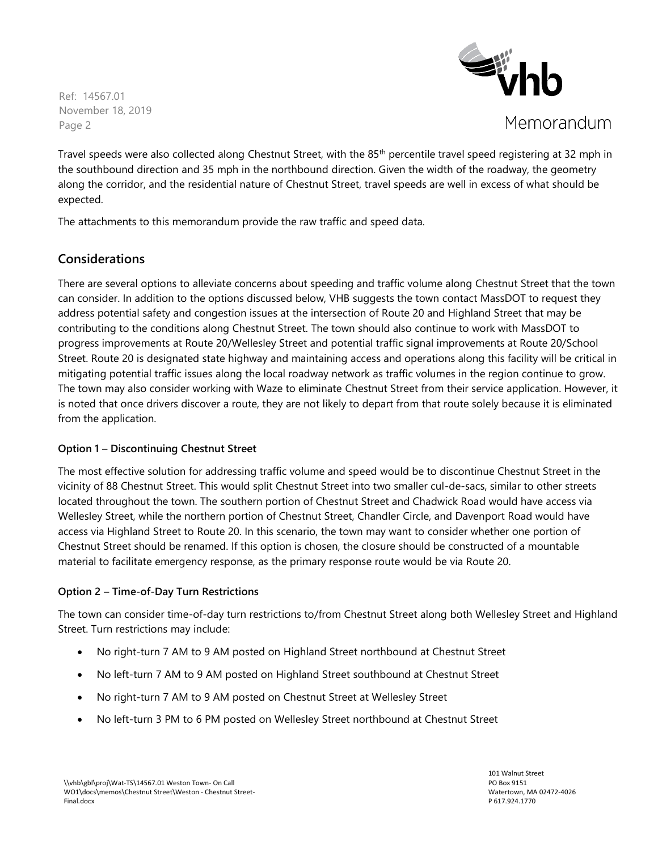Ref: 14567.01 November 18, 2019 Page 2



Memorandum

Travel speeds were also collected along Chestnut Street, with the 85<sup>th</sup> percentile travel speed registering at 32 mph in the southbound direction and 35 mph in the northbound direction. Given the width of the roadway, the geometry along the corridor, and the residential nature of Chestnut Street, travel speeds are well in excess of what should be expected.

The attachments to this memorandum provide the raw traffic and speed data.

# **Considerations**

There are several options to alleviate concerns about speeding and traffic volume along Chestnut Street that the town can consider. In addition to the options discussed below, VHB suggests the town contact MassDOT to request they address potential safety and congestion issues at the intersection of Route 20 and Highland Street that may be contributing to the conditions along Chestnut Street. The town should also continue to work with MassDOT to progress improvements at Route 20/Wellesley Street and potential traffic signal improvements at Route 20/School Street. Route 20 is designated state highway and maintaining access and operations along this facility will be critical in mitigating potential traffic issues along the local roadway network as traffic volumes in the region continue to grow. The town may also consider working with Waze to eliminate Chestnut Street from their service application. However, it is noted that once drivers discover a route, they are not likely to depart from that route solely because it is eliminated from the application.

### **Option 1 – Discontinuing Chestnut Street**

The most effective solution for addressing traffic volume and speed would be to discontinue Chestnut Street in the vicinity of 88 Chestnut Street. This would split Chestnut Street into two smaller cul-de-sacs, similar to other streets located throughout the town. The southern portion of Chestnut Street and Chadwick Road would have access via Wellesley Street, while the northern portion of Chestnut Street, Chandler Circle, and Davenport Road would have access via Highland Street to Route 20. In this scenario, the town may want to consider whether one portion of Chestnut Street should be renamed. If this option is chosen, the closure should be constructed of a mountable material to facilitate emergency response, as the primary response route would be via Route 20.

### **Option 2 – Time-of-Day Turn Restrictions**

The town can consider time-of-day turn restrictions to/from Chestnut Street along both Wellesley Street and Highland Street. Turn restrictions may include:

- No right-turn 7 AM to 9 AM posted on Highland Street northbound at Chestnut Street
- No left-turn 7 AM to 9 AM posted on Highland Street southbound at Chestnut Street
- No right-turn 7 AM to 9 AM posted on Chestnut Street at Wellesley Street
- No left-turn 3 PM to 6 PM posted on Wellesley Street northbound at Chestnut Street